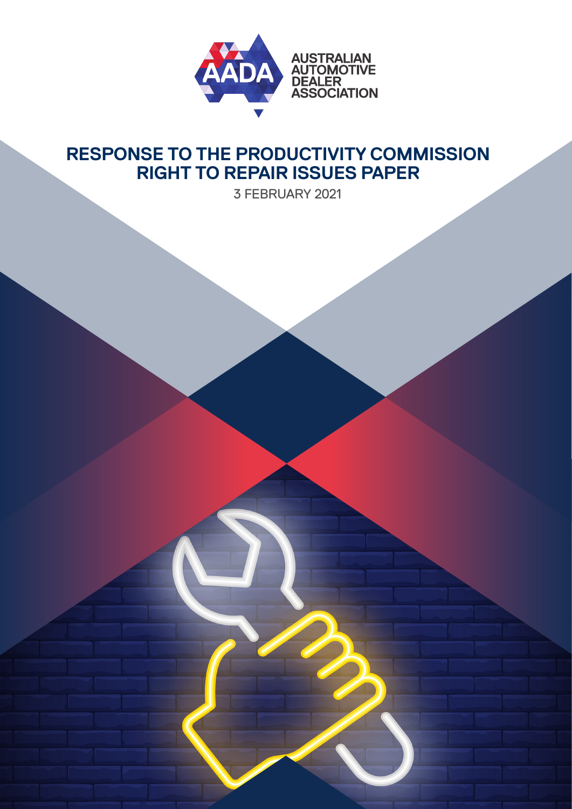

## **RESPONSE TO THE PRODUCTIVITY COMMISSION RIGHT TO REPAIR ISSUES PAPER**

3 FEBRUARY 2021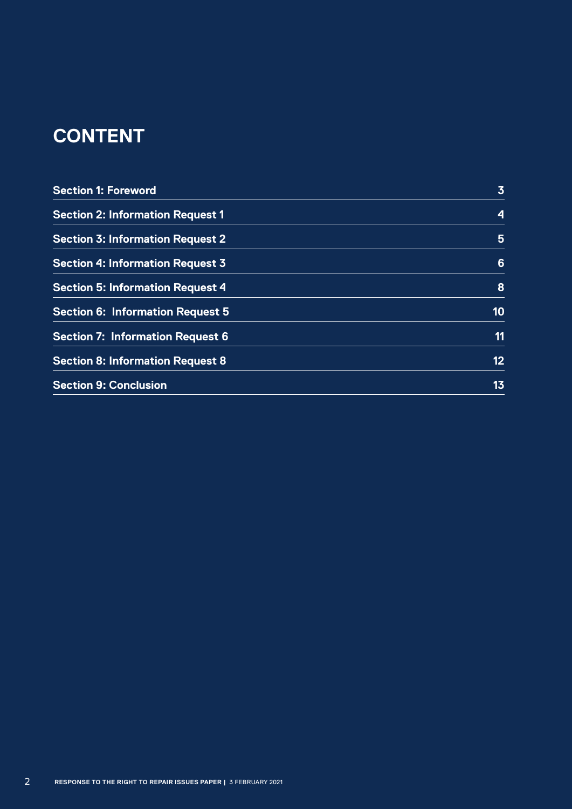# **CONTENT**

| <b>Section 1: Foreword</b>              | $\overline{3}$  |
|-----------------------------------------|-----------------|
| <b>Section 2: Information Request 1</b> | 4               |
| <b>Section 3: Information Request 2</b> | 5               |
| <b>Section 4: Information Request 3</b> | 6               |
| <b>Section 5: Information Request 4</b> | 8               |
| <b>Section 6: Information Request 5</b> | 10              |
| <b>Section 7: Information Request 6</b> | 11              |
| <b>Section 8: Information Request 8</b> | 12 <sub>2</sub> |
| <b>Section 9: Conclusion</b>            | 13              |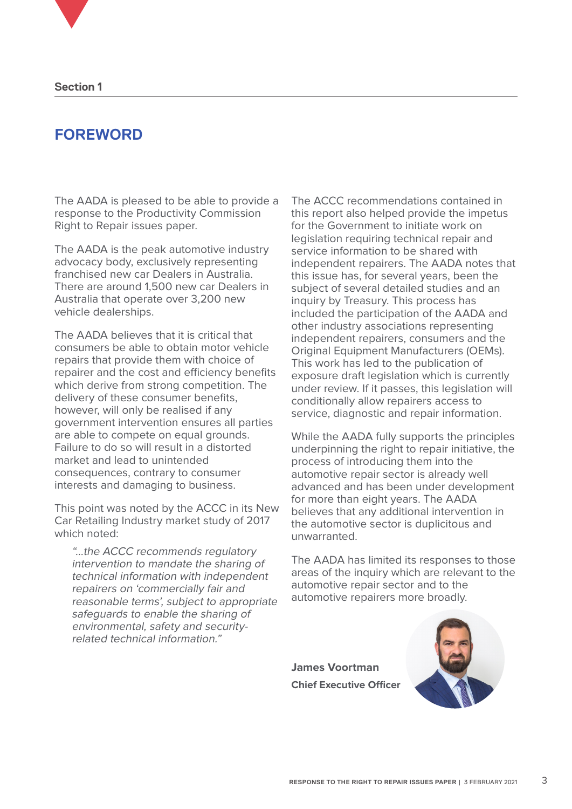### **FOREWORD**

The AADA is pleased to be able to provide a response to the Productivity Commission Right to Repair issues paper.

The AADA is the peak automotive industry advocacy body, exclusively representing franchised new car Dealers in Australia. There are around 1,500 new car Dealers in Australia that operate over 3,200 new vehicle dealerships.

The AADA believes that it is critical that consumers be able to obtain motor vehicle repairs that provide them with choice of repairer and the cost and efficiency benefits which derive from strong competition. The delivery of these consumer benefits, however, will only be realised if any government intervention ensures all parties are able to compete on equal grounds. Failure to do so will result in a distorted market and lead to unintended consequences, contrary to consumer interests and damaging to business.

This point was noted by the ACCC in its New Car Retailing Industry market study of 2017 which noted:

"…the ACCC recommends regulatory intervention to mandate the sharing of technical information with independent repairers on 'commercially fair and reasonable terms', subject to appropriate safeguards to enable the sharing of environmental, safety and securityrelated technical information."

The ACCC recommendations contained in this report also helped provide the impetus for the Government to initiate work on legislation requiring technical repair and service information to be shared with independent repairers. The AADA notes that this issue has, for several years, been the subject of several detailed studies and an inquiry by Treasury. This process has included the participation of the AADA and other industry associations representing independent repairers, consumers and the Original Equipment Manufacturers (OEMs). This work has led to the publication of exposure draft legislation which is currently under review. If it passes, this legislation will conditionally allow repairers access to service, diagnostic and repair information.

While the AADA fully supports the principles underpinning the right to repair initiative, the process of introducing them into the automotive repair sector is already well advanced and has been under development for more than eight years. The AADA believes that any additional intervention in the automotive sector is duplicitous and unwarranted.

The AADA has limited its responses to those areas of the inquiry which are relevant to the automotive repair sector and to the automotive repairers more broadly.

**James Voortman Chief Executive Officer**

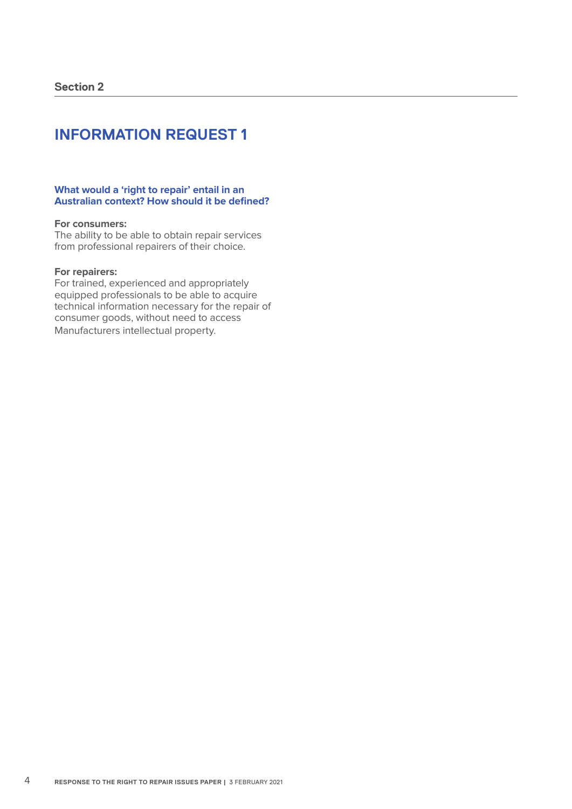#### **What would a 'right to repair' entail in an Australian context? How should it be defined?**

#### **For consumers:**

The ability to be able to obtain repair services from professional repairers of their choice.

#### **For repairers:**

For trained, experienced and appropriately equipped professionals to be able to acquire technical information necessary for the repair of consumer goods, without need to access Manufacturers intellectual property.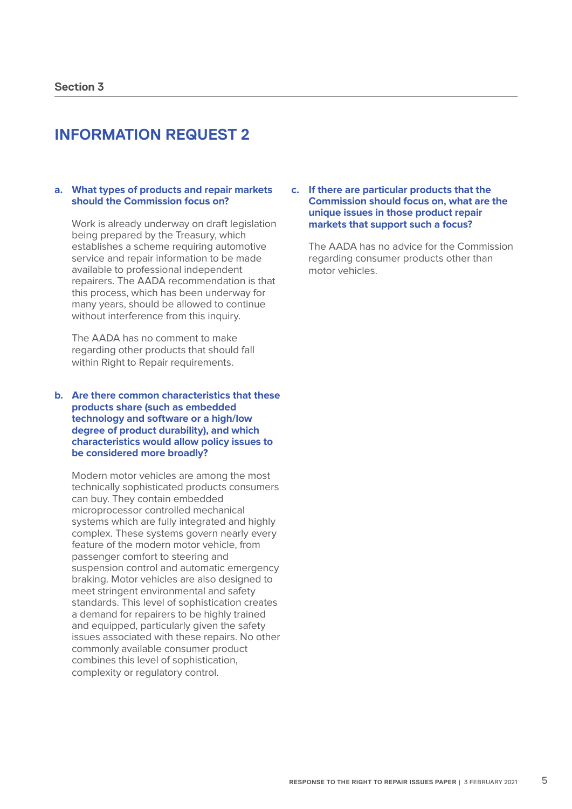#### **a. What types of products and repair markets should the Commission focus on?**

Work is already underway on draft legislation being prepared by the Treasury, which establishes a scheme requiring automotive service and repair information to be made available to professional independent repairers. The AADA recommendation is that this process, which has been underway for many years, should be allowed to continue without interference from this inquiry.

The AADA has no comment to make regarding other products that should fall within Right to Repair requirements.

#### **b. Are there common characteristics that these products share (such as embedded technology and software or a high/low degree of product durability), and which characteristics would allow policy issues to be considered more broadly?**

Modern motor vehicles are among the most technically sophisticated products consumers can buy. They contain embedded microprocessor controlled mechanical systems which are fully integrated and highly complex. These systems govern nearly every feature of the modern motor vehicle, from passenger comfort to steering and suspension control and automatic emergency braking. Motor vehicles are also designed to meet stringent environmental and safety standards. This level of sophistication creates a demand for repairers to be highly trained and equipped, particularly given the safety issues associated with these repairs. No other commonly available consumer product combines this level of sophistication, complexity or regulatory control.

#### **c. If there are particular products that the Commission should focus on, what are the unique issues in those product repair markets that support such a focus?**

The AADA has no advice for the Commission regarding consumer products other than motor vehicles.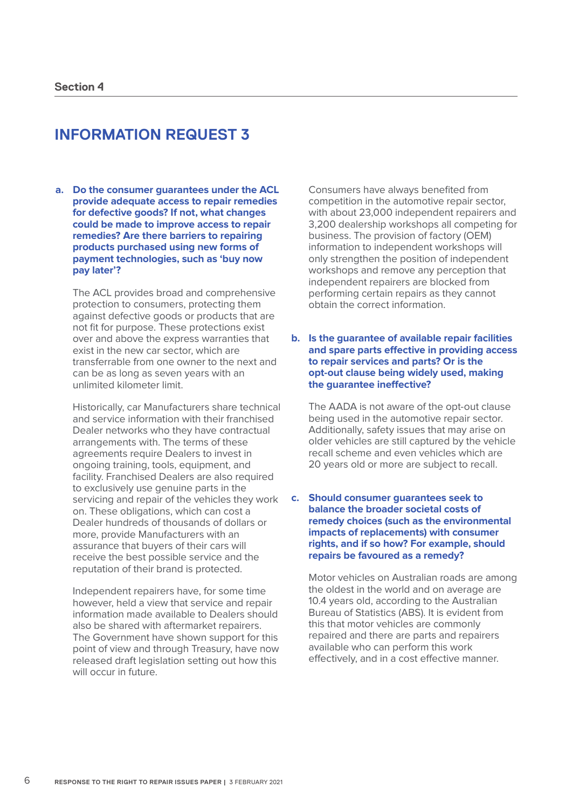**a. Do the consumer guarantees under the ACL provide adequate access to repair remedies for defective goods? If not, what changes could be made to improve access to repair remedies? Are there barriers to repairing products purchased using new forms of payment technologies, such as 'buy now pay later'?**

The ACL provides broad and comprehensive protection to consumers, protecting them against defective goods or products that are not fit for purpose. These protections exist over and above the express warranties that exist in the new car sector, which are transferrable from one owner to the next and can be as long as seven years with an unlimited kilometer limit.

Historically, car Manufacturers share technical and service information with their franchised Dealer networks who they have contractual arrangements with. The terms of these agreements require Dealers to invest in ongoing training, tools, equipment, and facility. Franchised Dealers are also required to exclusively use genuine parts in the servicing and repair of the vehicles they work on. These obligations, which can cost a Dealer hundreds of thousands of dollars or more, provide Manufacturers with an assurance that buyers of their cars will receive the best possible service and the reputation of their brand is protected.

Independent repairers have, for some time however, held a view that service and repair information made available to Dealers should also be shared with aftermarket repairers. The Government have shown support for this point of view and through Treasury, have now released draft legislation setting out how this will occur in future.

Consumers have always benefited from competition in the automotive repair sector, with about 23,000 independent repairers and 3,200 dealership workshops all competing for business. The provision of factory (OEM) information to independent workshops will only strengthen the position of independent workshops and remove any perception that independent repairers are blocked from performing certain repairs as they cannot obtain the correct information.

**b. Is the guarantee of available repair facilities and spare parts effective in providing access to repair services and parts? Or is the opt-out clause being widely used, making the guarantee ineffective?** 

The AADA is not aware of the opt-out clause being used in the automotive repair sector. Additionally, safety issues that may arise on older vehicles are still captured by the vehicle recall scheme and even vehicles which are 20 years old or more are subject to recall.

#### **c. Should consumer guarantees seek to balance the broader societal costs of remedy choices (such as the environmental impacts of replacements) with consumer rights, and if so how? For example, should repairs be favoured as a remedy?**

Motor vehicles on Australian roads are among the oldest in the world and on average are 10.4 years old, according to the Australian Bureau of Statistics (ABS). It is evident from this that motor vehicles are commonly repaired and there are parts and repairers available who can perform this work effectively, and in a cost effective manner.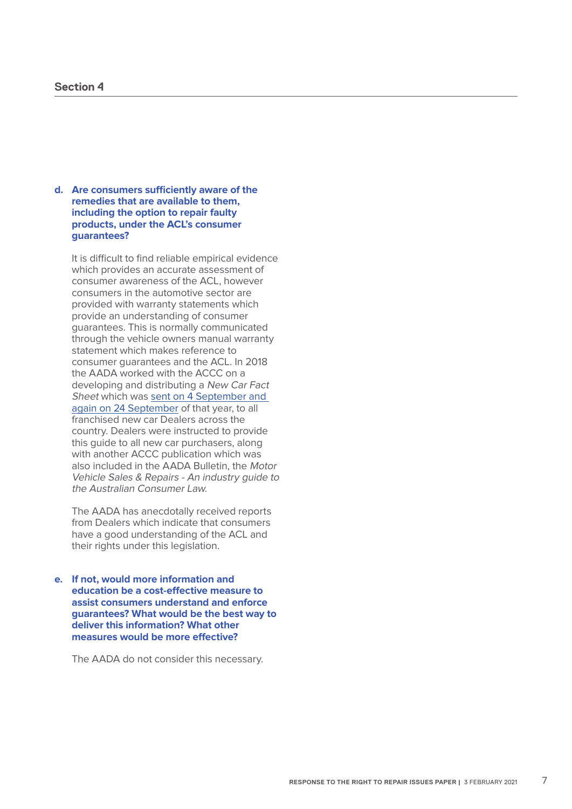#### **d. Are consumers sufficiently aware of the remedies that are available to them, including the option to repair faulty products, under the ACL's consumer guarantees?**

It is difficult to find reliable empirical evidence which provides an accurate assessment of consumer awareness of the ACL, however consumers in the automotive sector are provided with warranty statements which provide an understanding of consumer guarantees. This is normally communicated through the vehicle owners manual warranty statement which makes reference to consumer guarantees and the ACL. In 2018 the AADA worked with the ACCC on a developing and distributing a New Car Fact Sheet which was [sent on 4 September and](https://www.aada.asn.au/bulletins/2018/09/04/accc-new-car-fact-sheet/)  [again on 24 September](https://www.aada.asn.au/bulletins/2018/09/04/accc-new-car-fact-sheet/) of that year, to all franchised new car Dealers across the country. Dealers were instructed to provide this guide to all new car purchasers, along with another ACCC publication which was also included in the AADA Bulletin, the Motor Vehicle Sales & Repairs - An industry guide to the Australian Consumer Law.

The AADA has anecdotally received reports from Dealers which indicate that consumers have a good understanding of the ACL and their rights under this legislation.

**e. If not, would more information and education be a cost-effective measure to assist consumers understand and enforce guarantees? What would be the best way to deliver this information? What other measures would be more effective?** 

The AADA do not consider this necessary.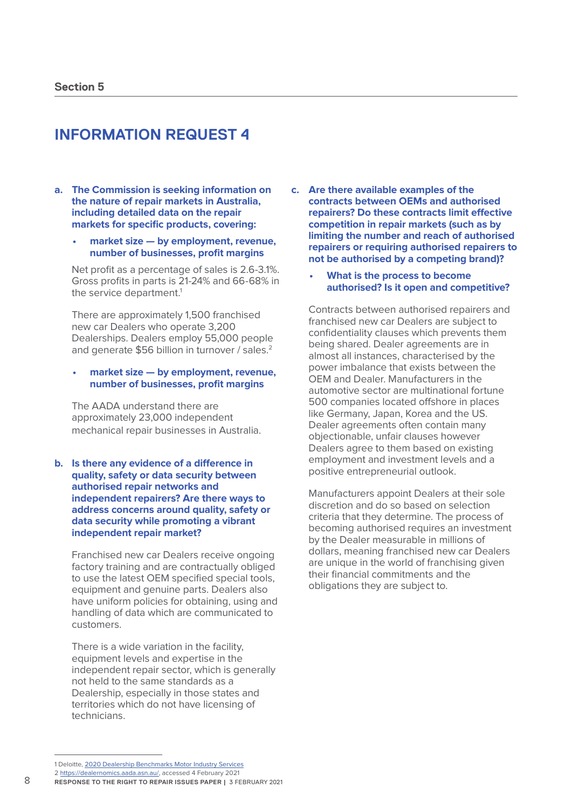- **a. The Commission is seeking information on the nature of repair markets in Australia, including detailed data on the repair markets for specific products, covering:** 
	- **• market size by employment, revenue, number of businesses, profit margins**

Net profit as a percentage of sales is 2.6-3.1%. Gross profits in parts is 21-24% and 66-68% in the service department.<sup>1</sup>

There are approximately 1,500 franchised new car Dealers who operate 3,200 Dealerships. Dealers employ 55,000 people and generate \$56 billion in turnover / sales.<sup>2</sup>

#### **• market size — by employment, revenue, number of businesses, profit margins**

The AADA understand there are approximately 23,000 independent mechanical repair businesses in Australia.

**b. Is there any evidence of a difference in quality, safety or data security between authorised repair networks and independent repairers? Are there ways to address concerns around quality, safety or data security while promoting a vibrant independent repair market?**

Franchised new car Dealers receive ongoing factory training and are contractually obliged to use the latest OEM specified special tools, equipment and genuine parts. Dealers also have uniform policies for obtaining, using and handling of data which are communicated to customers.

There is a wide variation in the facility, equipment levels and expertise in the independent repair sector, which is generally not held to the same standards as a Dealership, especially in those states and territories which do not have licensing of technicians.

- **c. Are there available examples of the contracts between OEMs and authorised repairers? Do these contracts limit effective competition in repair markets (such as by limiting the number and reach of authorised repairers or requiring authorised repairers to not be authorised by a competing brand)?** 
	- **• What is the process to become authorised? Is it open and competitive?**

Contracts between authorised repairers and franchised new car Dealers are subject to confidentiality clauses which prevents them being shared. Dealer agreements are in almost all instances, characterised by the power imbalance that exists between the OEM and Dealer. Manufacturers in the automotive sector are multinational fortune 500 companies located offshore in places like Germany, Japan, Korea and the US. Dealer agreements often contain many objectionable, unfair clauses however Dealers agree to them based on existing employment and investment levels and a positive entrepreneurial outlook.

Manufacturers appoint Dealers at their sole discretion and do so based on selection criteria that they determine. The process of becoming authorised requires an investment by the Dealer measurable in millions of dollars, meaning franchised new car Dealers are unique in the world of franchising given their financial commitments and the obligations they are subject to.

<sup>1</sup> Deloitte, [2020 Dealership Benchmarks Motor Industry Services](https://www.eprofitfocus.com/media/1577/deloitte-motor-industry-services-benchmarks-2020_aus_web_20200228.pdf)

<sup>2</sup> https://dealernomics.aada.asn.au/, accessed 4 February 2021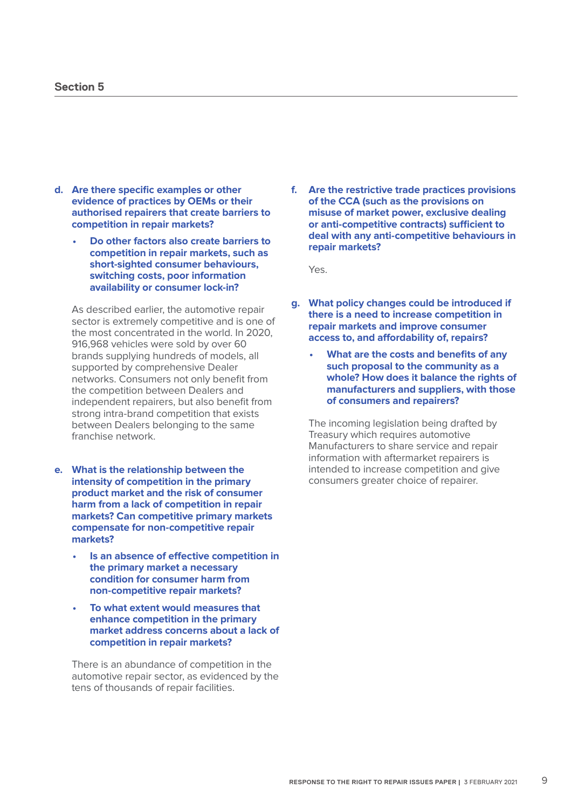#### **Section 5**

- **d. Are there specific examples or other evidence of practices by OEMs or their authorised repairers that create barriers to competition in repair markets?** 
	- **• Do other factors also create barriers to competition in repair markets, such as short-sighted consumer behaviours, switching costs, poor information availability or consumer lock-in?**

As described earlier, the automotive repair sector is extremely competitive and is one of the most concentrated in the world. In 2020, 916,968 vehicles were sold by over 60 brands supplying hundreds of models, all supported by comprehensive Dealer networks. Consumers not only benefit from the competition between Dealers and independent repairers, but also benefit from strong intra-brand competition that exists between Dealers belonging to the same franchise network.

- **e. What is the relationship between the intensity of competition in the primary product market and the risk of consumer harm from a lack of competition in repair markets? Can competitive primary markets compensate for non-competitive repair markets?** 
	- **• Is an absence of effective competition in the primary market a necessary condition for consumer harm from non-competitive repair markets?**
	- **• To what extent would measures that enhance competition in the primary market address concerns about a lack of competition in repair markets?**

There is an abundance of competition in the automotive repair sector, as evidenced by the tens of thousands of repair facilities.

**f. Are the restrictive trade practices provisions of the CCA (such as the provisions on misuse of market power, exclusive dealing or anti-competitive contracts) sufficient to deal with any anti-competitive behaviours in repair markets?**

Yes.

- **g. What policy changes could be introduced if there is a need to increase competition in repair markets and improve consumer access to, and affordability of, repairs?** 
	- **• What are the costs and benefits of any such proposal to the community as a whole? How does it balance the rights of manufacturers and suppliers, with those of consumers and repairers?**

The incoming legislation being drafted by Treasury which requires automotive Manufacturers to share service and repair information with aftermarket repairers is intended to increase competition and give consumers greater choice of repairer.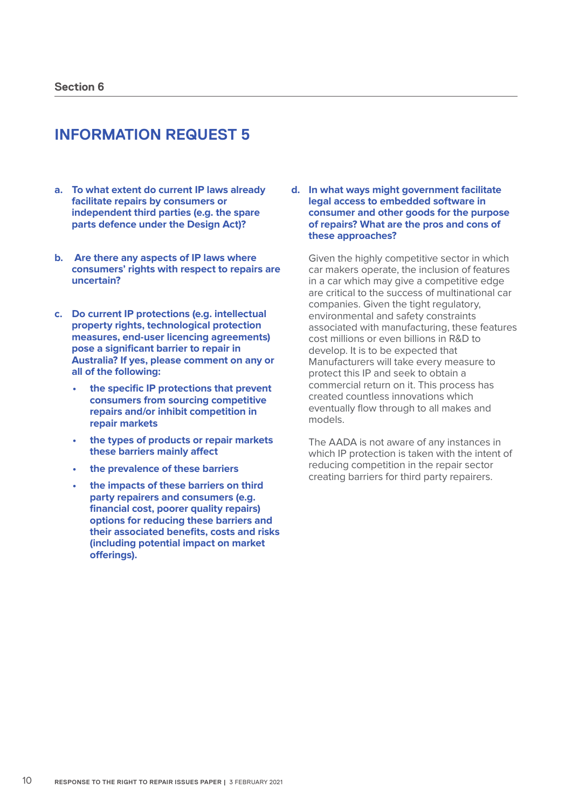- **a. To what extent do current IP laws already facilitate repairs by consumers or independent third parties (e.g. the spare parts defence under the Design Act)?**
- **b. Are there any aspects of IP laws where consumers' rights with respect to repairs are uncertain?**
- **c. Do current IP protections (e.g. intellectual property rights, technological protection measures, end-user licencing agreements) pose a significant barrier to repair in Australia? If yes, please comment on any or all of the following:** 
	- **• the specific IP protections that prevent consumers from sourcing competitive repairs and/or inhibit competition in repair markets**
	- **• the types of products or repair markets these barriers mainly affect**
	- **• the prevalence of these barriers**
	- **• the impacts of these barriers on third party repairers and consumers (e.g. financial cost, poorer quality repairs) options for reducing these barriers and their associated benefits, costs and risks (including potential impact on market offerings).**

**d. In what ways might government facilitate legal access to embedded software in consumer and other goods for the purpose of repairs? What are the pros and cons of these approaches?** 

Given the highly competitive sector in which car makers operate, the inclusion of features in a car which may give a competitive edge are critical to the success of multinational car companies. Given the tight regulatory, environmental and safety constraints associated with manufacturing, these features cost millions or even billions in R&D to develop. It is to be expected that Manufacturers will take every measure to protect this IP and seek to obtain a commercial return on it. This process has created countless innovations which eventually flow through to all makes and models.

The AADA is not aware of any instances in which IP protection is taken with the intent of reducing competition in the repair sector creating barriers for third party repairers.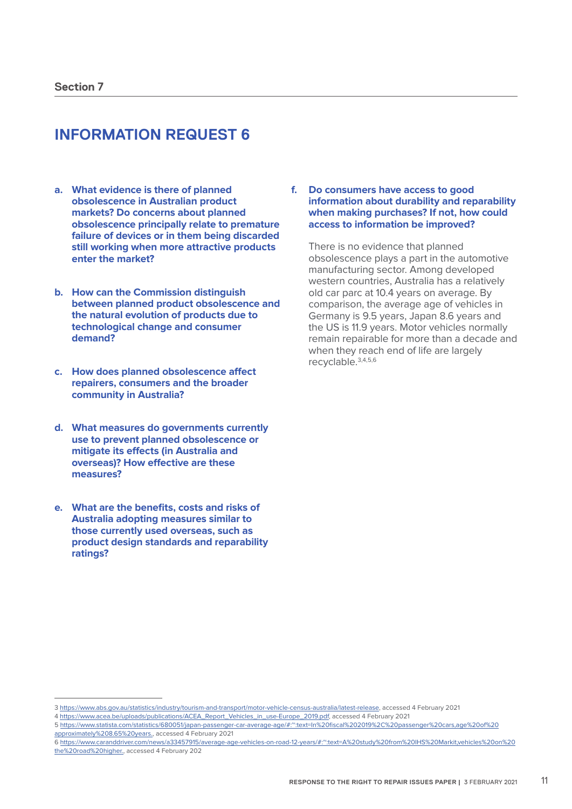- **a. What evidence is there of planned obsolescence in Australian product markets? Do concerns about planned obsolescence principally relate to premature failure of devices or in them being discarded still working when more attractive products enter the market?**
- **b. How can the Commission distinguish between planned product obsolescence and the natural evolution of products due to technological change and consumer demand?**
- **c. How does planned obsolescence affect repairers, consumers and the broader community in Australia?**
- **d. What measures do governments currently use to prevent planned obsolescence or mitigate its effects (in Australia and overseas)? How effective are these measures?**
- **e. What are the benefits, costs and risks of Australia adopting measures similar to those currently used overseas, such as product design standards and reparability ratings?**

**f. Do consumers have access to good information about durability and reparability when making purchases? If not, how could access to information be improved?** 

There is no evidence that planned obsolescence plays a part in the automotive manufacturing sector. Among developed western countries, Australia has a relatively old car parc at 10.4 years on average. By comparison, the average age of vehicles in Germany is 9.5 years, Japan 8.6 years and the US is 11.9 years. Motor vehicles normally remain repairable for more than a decade and when they reach end of life are largely recyclable.3,4,5,6

<sup>3</sup> https://www.abs.gov.au/statistics/industry/tourism-and-transport/motor-vehicle-census-australia/latest-release, accessed 4 February 2021

<sup>4</sup> https://www.acea.be/uploads/publications/ACEA\_Report\_Vehicles\_in\_use-Europe\_2019.pdf, accessed 4 February 2021

<sup>5</sup> https://www.statista.com/statistics/680051/japan-passenger-car-average-age/#:~:text=In%20fiscal%202019%2C%20passenger%20cars,age%20of%20 approximately%208.65%20years., accessed 4 February 2021

<sup>6</sup> https://www.caranddriver.com/news/a33457915/average-age-vehicles-on-road-12-years/#:~:text=A%20study%20from%20IHS%20Markit,vehicles%20on%20 the%20road%20higher., accessed 4 February 202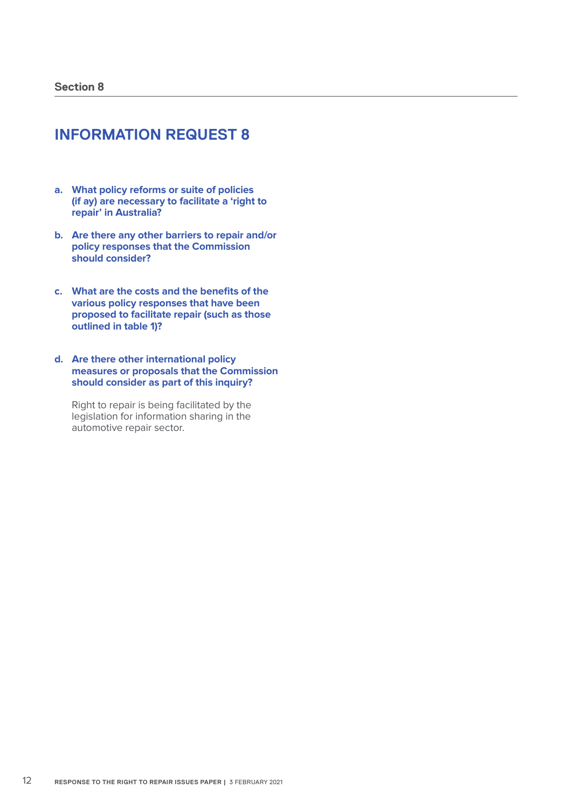- **a. What policy reforms or suite of policies (if ay) are necessary to facilitate a 'right to repair' in Australia?**
- **b. Are there any other barriers to repair and/or policy responses that the Commission should consider?**
- **c. What are the costs and the benefits of the various policy responses that have been proposed to facilitate repair (such as those outlined in table 1)?**
- **d. Are there other international policy measures or proposals that the Commission should consider as part of this inquiry?**

Right to repair is being facilitated by the legislation for information sharing in the automotive repair sector.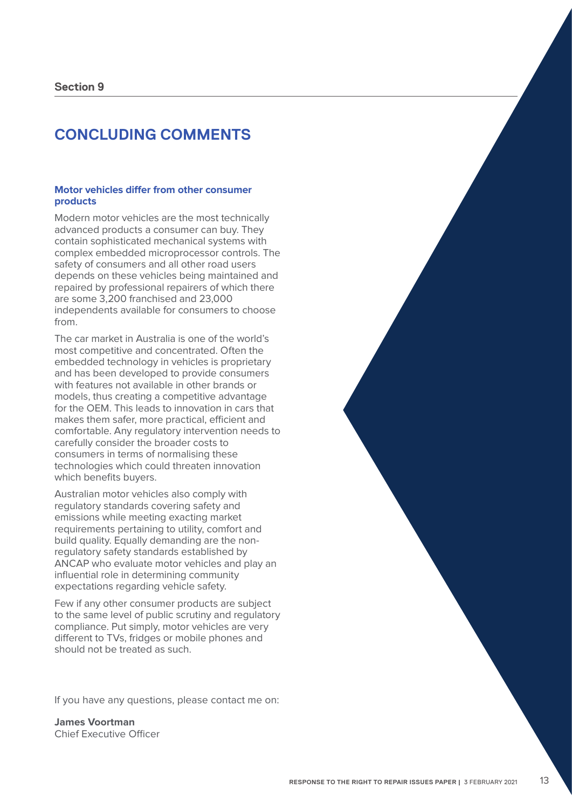### **CONCLUDING COMMENTS**

#### **Motor vehicles differ from other consumer products**

Modern motor vehicles are the most technically advanced products a consumer can buy. They contain sophisticated mechanical systems with complex embedded microprocessor controls. The safety of consumers and all other road users depends on these vehicles being maintained and repaired by professional repairers of which there are some 3,200 franchised and 23,000 independents available for consumers to choose from.

The car market in Australia is one of the world's most competitive and concentrated. Often the embedded technology in vehicles is proprietary and has been developed to provide consumers with features not available in other brands or models, thus creating a competitive advantage for the OEM. This leads to innovation in cars that makes them safer, more practical, efficient and comfortable. Any regulatory intervention needs to carefully consider the broader costs to consumers in terms of normalising these technologies which could threaten innovation which benefits buyers.

Australian motor vehicles also comply with regulatory standards covering safety and emissions while meeting exacting market requirements pertaining to utility, comfort and build quality. Equally demanding are the nonregulatory safety standards established by ANCAP who evaluate motor vehicles and play an influential role in determining community expectations regarding vehicle safety.

Few if any other consumer products are subject to the same level of public scrutiny and regulatory compliance. Put simply, motor vehicles are very different to TVs, fridges or mobile phones and should not be treated as such.

If you have any questions, please contact me on:

**James Voortman** Chief Executive Officer